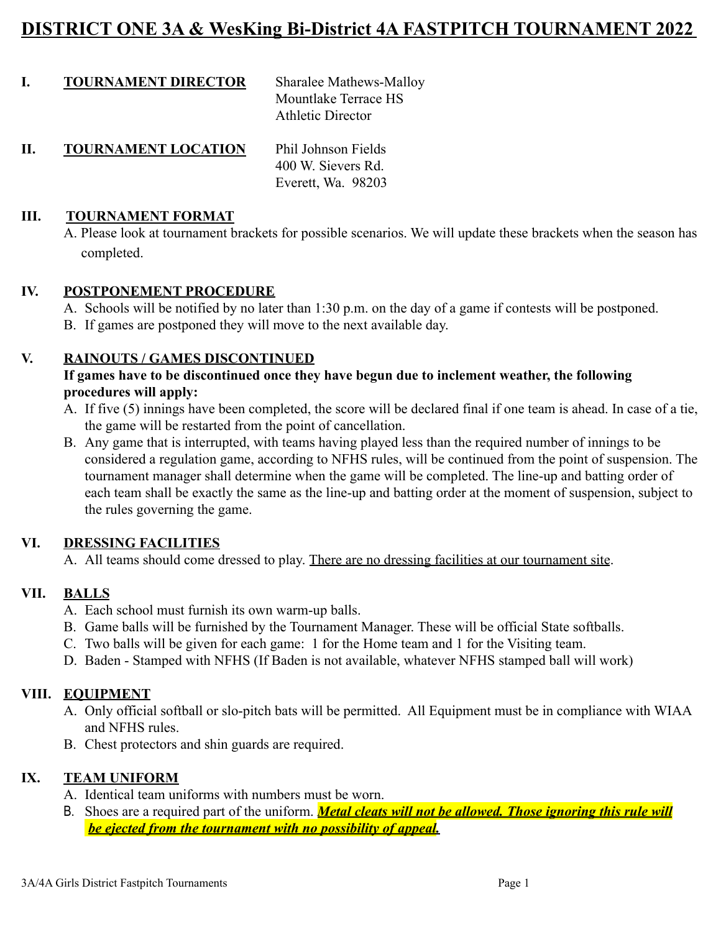## **DISTRICT ONE 3A & WesKing Bi-District 4A FASTPITCH TOURNAMENT 2022**

| <b>TOURNAMENT DIRECTOR</b> | Sharalee Mathews-Malloy  |
|----------------------------|--------------------------|
|                            | Mountlake Terrace HS     |
|                            | <b>Athletic Director</b> |
|                            |                          |

**II. TOURNAMENT LOCATION** Phil Johnson Fields 400 W. Sievers Rd. Everett, Wa. 98203

#### **III. TOURNAMENT FORMAT**

A. Please look at tournament brackets for possible scenarios. We will update these brackets when the season has completed.

#### **IV. POSTPONEMENT PROCEDURE**

- A. Schools will be notified by no later than 1:30 p.m. on the day of a game if contests will be postponed.
- B. If games are postponed they will move to the next available day.

#### **V. RAINOUTS / GAMES DISCONTINUED**

#### **If games have to be discontinued once they have begun due to inclement weather, the following procedures will apply:**

- A. If five (5) innings have been completed, the score will be declared final if one team is ahead. In case of a tie, the game will be restarted from the point of cancellation.
- B. Any game that is interrupted, with teams having played less than the required number of innings to be considered a regulation game, according to NFHS rules, will be continued from the point of suspension. The tournament manager shall determine when the game will be completed. The line-up and batting order of each team shall be exactly the same as the line-up and batting order at the moment of suspension, subject to the rules governing the game.

#### **VI. DRESSING FACILITIES**

A. All teams should come dressed to play. There are no dressing facilities at our tournament site.

#### **VII. BALLS**

- A. Each school must furnish its own warm-up balls.
- B. Game balls will be furnished by the Tournament Manager. These will be official State softballs.
- C. Two balls will be given for each game: 1 for the Home team and 1 for the Visiting team.
- D. Baden Stamped with NFHS (If Baden is not available, whatever NFHS stamped ball will work)

#### **VIII. EQUIPMENT**

- A. Only official softball or slo-pitch bats will be permitted. All Equipment must be in compliance with WIAA and NFHS rules.
- B. Chest protectors and shin guards are required.

#### **IX. TEAM UNIFORM**

- A. Identical team uniforms with numbers must be worn.
- B. Shoes are a required part of the uniform. *Metal cleats will not be allowed. Those ignoring this rule will be ejected from the tournament with no possibility of appeal.*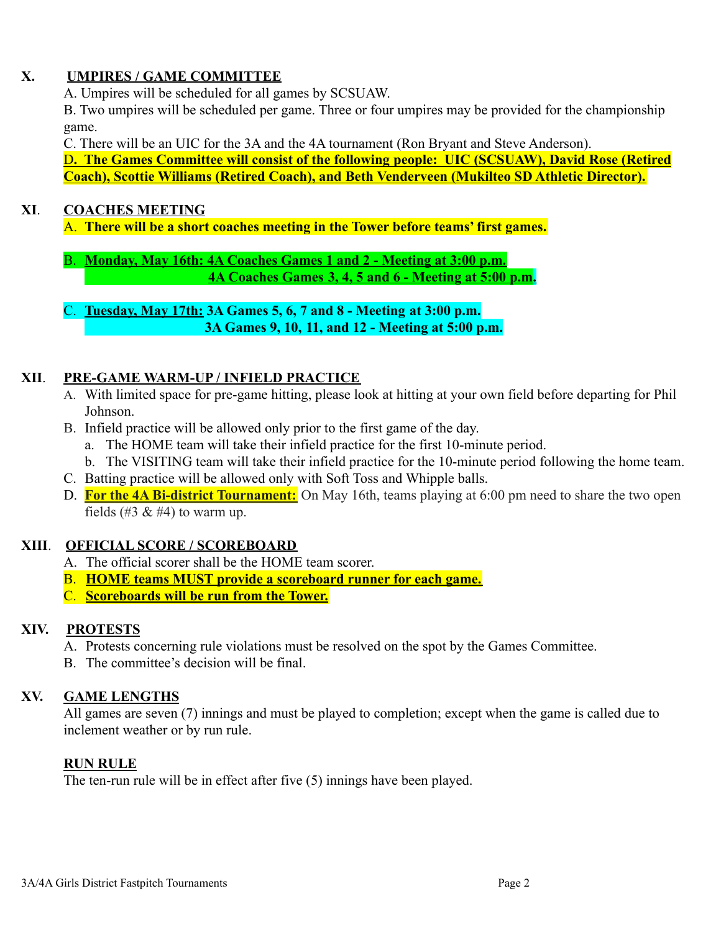## **X. UMPIRES / GAME COMMITTEE**

A. Umpires will be scheduled for all games by SCSUAW.

B. Two umpires will be scheduled per game. Three or four umpires may be provided for the championship game.

C. There will be an UIC for the 3A and the 4A tournament (Ron Bryant and Steve Anderson).

D**. The Games Committee will consist of the following people: UIC (SCSUAW), David Rose (Retired Coach), Scottie Williams (Retired Coach), and Beth Venderveen (Mukilteo SD Athletic Director).**

## **XI**. **COACHES MEETING**

A. **There will be a short coaches meeting in the Tower before teams' first games.**

B. **Monday, May 16th: 4A Coaches Games 1 and 2 - Meeting at 3:00 p.m. 4A Coaches Games 3, 4, 5 and 6 - Meeting at 5:00 p.m.**

C. **Tuesday, May 17th: 3A Games 5, 6, 7 and 8 - Meeting at 3:00 p.m. 3A Games 9, 10, 11, and 12 - Meeting at 5:00 p.m.**

## **XII**. **PRE-GAME WARM-UP / INFIELD PRACTICE**

- A. With limited space for pre-game hitting, please look at hitting at your own field before departing for Phil Johnson.
- B. Infield practice will be allowed only prior to the first game of the day.
	- a. The HOME team will take their infield practice for the first 10-minute period.
	- b. The VISITING team will take their infield practice for the 10-minute period following the home team.
- C. Batting practice will be allowed only with Soft Toss and Whipple balls.
- D. **For the 4A Bi-district Tournament:** On May 16th, teams playing at 6:00 pm need to share the two open fields (#3  $\&$  #4) to warm up.

## **XIII**. **OFFICIAL SCORE / SCOREBOARD**

- A. The official scorer shall be the HOME team scorer.
- B. **HOME teams MUST provide a scoreboard runner for each game.**
- C. **Scoreboards will be run from the Tower.**

## **XIV. PROTESTS**

- A. Protests concerning rule violations must be resolved on the spot by the Games Committee.
- B. The committee's decision will be final.

## **XV. GAME LENGTHS**

All games are seven (7) innings and must be played to completion; except when the game is called due to inclement weather or by run rule.

## **RUN RULE**

The ten-run rule will be in effect after five (5) innings have been played.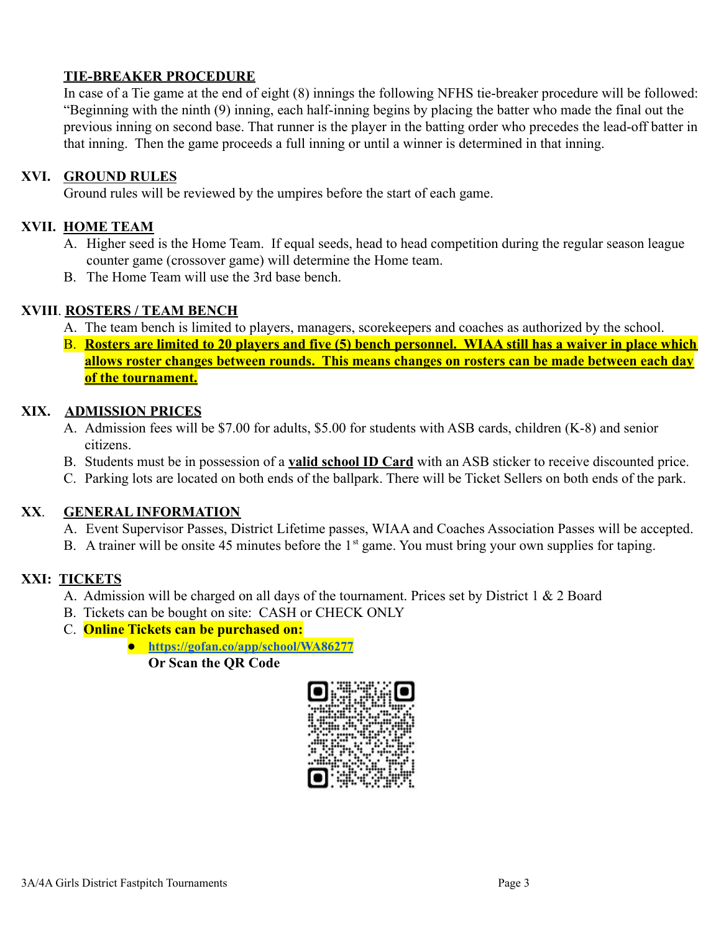#### **TIE-BREAKER PROCEDURE**

In case of a Tie game at the end of eight (8) innings the following NFHS tie-breaker procedure will be followed: "Beginning with the ninth (9) inning, each half-inning begins by placing the batter who made the final out the previous inning on second base. That runner is the player in the batting order who precedes the lead-off batter in that inning. Then the game proceeds a full inning or until a winner is determined in that inning.

#### **XVI. GROUND RULES**

Ground rules will be reviewed by the umpires before the start of each game.

#### **XVII. HOME TEAM**

- A. Higher seed is the Home Team. If equal seeds, head to head competition during the regular season league counter game (crossover game) will determine the Home team.
- B. The Home Team will use the 3rd base bench.

#### **XVIII**. **ROSTERS / TEAM BENCH**

- A. The team bench is limited to players, managers, scorekeepers and coaches as authorized by the school.
- B. **Rosters are limited to 20 players and five (5) bench personnel. WIAA still has a waiver in place which allows roster changes between rounds. This means changes on rosters can be made between each day of the tournament.**

#### **XIX. ADMISSION PRICES**

- A. Admission fees will be \$7.00 for adults, \$5.00 for students with ASB cards, children (K-8) and senior citizens.
- B. Students must be in possession of a **valid school ID Card** with an ASB sticker to receive discounted price.
- C. Parking lots are located on both ends of the ballpark. There will be Ticket Sellers on both ends of the park.

#### **XX**. **GENERAL INFORMATION**

- A. Event Supervisor Passes, District Lifetime passes, WIAA and Coaches Association Passes will be accepted.
- B. A trainer will be onsite 45 minutes before the  $1<sup>st</sup>$  game. You must bring your own supplies for taping.

#### **XXI: TICKETS**

- A. Admission will be charged on all days of the tournament. Prices set by District 1 & 2 Board
- B. Tickets can be bought on site: CASH or CHECK ONLY
- C. **Online Tickets can be purchased on:**
	- **● <https://gofan.co/app/school/WA86277> Or Scan the QR Code**

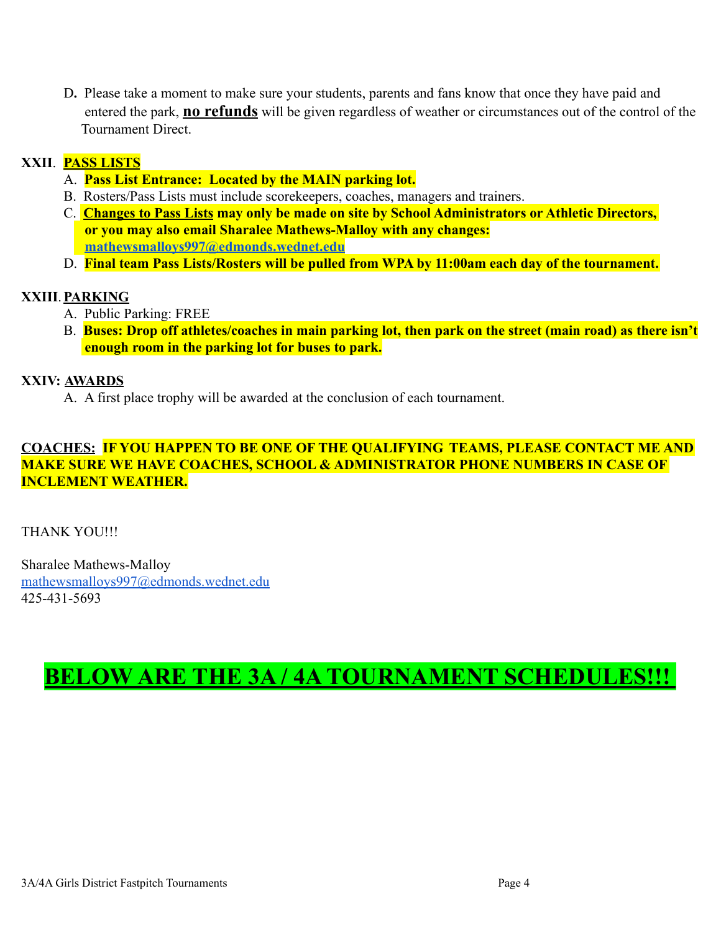D**.** Please take a moment to make sure your students, parents and fans know that once they have paid and entered the park, **no refunds** will be given regardless of weather or circumstances out of the control of the Tournament Direct.

### **XXII**. **PASS LISTS**

- A. **Pass List Entrance: Located by the MAIN parking lot.**
- B. Rosters/Pass Lists must include scorekeepers, coaches, managers and trainers.
- C. **Changes to Pass Lists may only be made on site by School Administrators or Athletic Directors, or you may also email Sharalee Mathews-Malloy with any changes: [mathewsmalloys997@edmonds.wednet.edu](mailto:mathewsmalloys997@edmonds.wednet.edu)**
- D. **Final team Pass Lists/Rosters will be pulled from WPA by 11:00am each day of the tournament.**

#### **XXIII**.**PARKING**

- A. Public Parking: FREE
- B. **Buses: Drop off athletes/coaches in main parking lot, then park on the street (main road) as there isn't enough room in the parking lot for buses to park.**

#### **XXIV: AWARDS**

A. A first place trophy will be awarded at the conclusion of each tournament.

#### **COACHES: IF YOU HAPPEN TO BE ONE OF THE QUALIFYING TEAMS, PLEASE CONTACT ME AND MAKE SURE WE HAVE COACHES, SCHOOL & ADMINISTRATOR PHONE NUMBERS IN CASE OF INCLEMENT WEATHER.**

THANK YOU!!!

Sharalee Mathews-Malloy [mathewsmalloys997@edmonds.wednet.edu](mailto:mathewsmalloys997@edmonds.wednet.edu) 425-431-5693

# **BELOW ARE THE 3A / 4A TOURNAMENT SCHEDULES!!!**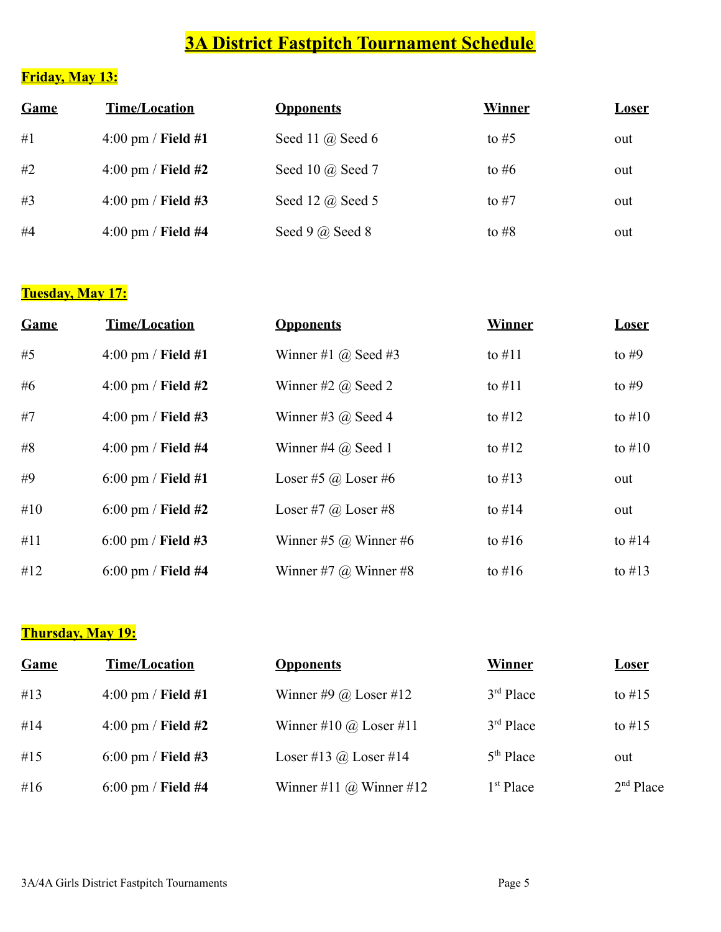## **3A District Fastpitch Tournament Schedule**

## **Friday, May 13:**

| Game | <b>Time/Location</b>         | <b>Opponents</b>     | <b>Winner</b> | <u>Loser</u> |
|------|------------------------------|----------------------|---------------|--------------|
| #1   | $4:00$ pm / Field #1         | Seed 11 $(a)$ Seed 6 | to $#5$       | out          |
| #2   | $4:00 \text{ pm}$ / Field #2 | Seed 10 @ Seed 7     | to #6         | out          |
| #3   | $4:00$ pm / Field #3         | Seed 12 $(a)$ Seed 5 | to $#7$       | out          |
| #4   | $4:00$ pm / Field #4         | Seed 9 $(a)$ Seed 8  | to $#8$       | out          |

## **Tuesday, May 17:**

| Game  | <b>Time/Location</b>   | <b>Opponents</b>             | <b>Winner</b> | <b>Loser</b> |
|-------|------------------------|------------------------------|---------------|--------------|
| #5    | $4:00$ pm / Field #1   | Winner #1 $\omega$ Seed #3   | to $\#11$     | to $#9$      |
| # $6$ | $4:00$ pm / Field #2   | Winner #2 $\omega$ Seed 2    | to $\#11$     | to $#9$      |
| #7    | $4:00$ pm / Field #3   | Winner #3 $\omega$ Seed 4    | to $\#12$     | to $#10$     |
| #8    | $4:00$ pm / Field $#4$ | Winner #4 $@$ Seed 1         | to $#12$      | to $#10$     |
| #9    | $6:00$ pm / Field #1   | Loser #5 $\omega$ Loser #6   | to $\#13$     | out          |
| #10   | $6:00$ pm / Field #2   | Loser #7 $\omega$ Loser #8   | to $#14$      | out          |
| #11   | $6:00$ pm / Field #3   | Winner #5 $\omega$ Winner #6 | to $\#16$     | to $#14$     |
| #12   | $6:00$ pm / Field #4   | Winner #7 $\omega$ Winner #8 | to $\#16$     | to $\#13$    |

## **Thursday, May 19:**

| Game | <b>Time/Location</b> | <b>Opponents</b>               | Winner                | <u>Loser</u>          |
|------|----------------------|--------------------------------|-----------------------|-----------------------|
| #13  | $4:00$ pm / Field #1 | Winner #9 $\omega$ Loser #12   | $3rd$ Place           | to $\#15$             |
| #14  | $4:00$ pm / Field #2 | Winner #10 $\omega$ Loser #11  | $3rd$ Place           | to $\#15$             |
| #15  | $6:00$ pm / Field #3 | Loser #13 @ Loser #14          | $5th$ Place           | out                   |
| #16  | $6:00$ pm / Field #4 | Winner #11 $\omega$ Winner #12 | 1 <sup>st</sup> Place | 2 <sup>nd</sup> Place |